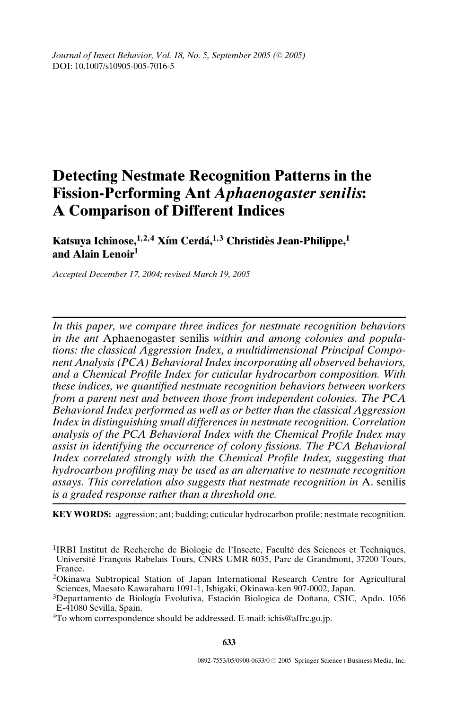*Journal of Insect Behavior, Vol. 18, No. 5, September 2005 (* $\odot$  *2005)* DOI: 10.1007/s10905-005-7016-5

# **Detecting Nestmate Recognition Patterns in the Fission-Performing Ant** *Aphaenogaster senilis***: A Comparison of Different Indices**

**Katsuya Ichinose,<sup>1</sup>***,***2***,***<sup>4</sup> X´ım Cerda,´ <sup>1</sup>***,***<sup>3</sup> Christides Jean-Philippe, ` <sup>1</sup> and Alain Lenoir<sup>1</sup>**

*Accepted December 17, 2004; revised March 19, 2005*

*In this paper, we compare three indices for nestmate recognition behaviors in the ant* Aphaenogaster senilis *within and among colonies and populations: the classical Aggression Index, a multidimensional Principal Component Analysis (PCA) Behavioral Index incorporating all observed behaviors, and a Chemical Profile Index for cuticular hydrocarbon composition. With these indices, we quantified nestmate recognition behaviors between workers from a parent nest and between those from independent colonies. The PCA Behavioral Index performed as well as or better than the classical Aggression Index in distinguishing small differences in nestmate recognition. Correlation analysis of the PCA Behavioral Index with the Chemical Profile Index may assist in identifying the occurrence of colony fissions. The PCA Behavioral Index correlated strongly with the Chemical Profile Index, suggesting that hydrocarbon profiling may be used as an alternative to nestmate recognition assays. This correlation also suggests that nestmate recognition in* A. senilis *is a graded response rather than a threshold one.*

**KEY WORDS:** aggression; ant; budding; cuticular hydrocarbon profile; nestmate recognition.

4To whom correspondence should be addressed. E-mail: ichis@affrc.go.jp.

**633**

<sup>&</sup>lt;sup>1</sup>IRBI Institut de Recherche de Biologie de l'Insecte, Faculté des Sciences et Techniques, Université Francois Rabelais Tours, CNRS UMR 6035, Parc de Grandmont, 37200 Tours, France.

<sup>2</sup>Okinawa Subtropical Station of Japan International Research Centre for Agricultural Sciences, Maesato Kawarabaru 1091-1, Ishigaki, Okinawa-ken 907-0002, Japan.

<sup>&</sup>lt;sup>3</sup>Departamento de Biología Evolutiva, Estación Biologica de Doñana, CSIC, Apdo. 1056 E-41080 Sevilla, Spain.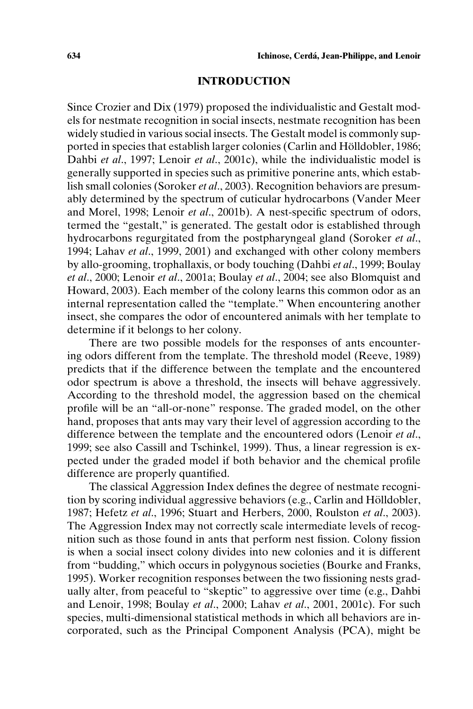## **INTRODUCTION**

Since Crozier and Dix (1979) proposed the individualistic and Gestalt models for nestmate recognition in social insects, nestmate recognition has been widely studied in various social insects. The Gestalt model is commonly supported in species that establish larger colonies (Carlin and Hölldobler, 1986; Dahbi *et al*., 1997; Lenoir *et al*., 2001c), while the individualistic model is generally supported in species such as primitive ponerine ants, which establish small colonies (Soroker *et al*., 2003). Recognition behaviors are presumably determined by the spectrum of cuticular hydrocarbons (Vander Meer and Morel, 1998; Lenoir *et al*., 2001b). A nest-specific spectrum of odors, termed the "gestalt," is generated. The gestalt odor is established through hydrocarbons regurgitated from the postpharyngeal gland (Soroker *et al*., 1994; Lahav *et al*., 1999, 2001) and exchanged with other colony members by allo-grooming, trophallaxis, or body touching (Dahbi *et al*., 1999; Boulay *et al*., 2000; Lenoir *et al*., 2001a; Boulay *et al*., 2004; see also Blomquist and Howard, 2003). Each member of the colony learns this common odor as an internal representation called the "template." When encountering another insect, she compares the odor of encountered animals with her template to determine if it belongs to her colony.

There are two possible models for the responses of ants encountering odors different from the template. The threshold model (Reeve, 1989) predicts that if the difference between the template and the encountered odor spectrum is above a threshold, the insects will behave aggressively. According to the threshold model, the aggression based on the chemical profile will be an "all-or-none" response. The graded model, on the other hand, proposes that ants may vary their level of aggression according to the difference between the template and the encountered odors (Lenoir *et al*., 1999; see also Cassill and Tschinkel, 1999). Thus, a linear regression is expected under the graded model if both behavior and the chemical profile difference are properly quantified.

The classical Aggression Index defines the degree of nestmate recognition by scoring individual aggressive behaviors (e.g., Carlin and Holldobler, ¨ 1987; Hefetz *et al*., 1996; Stuart and Herbers, 2000, Roulston *et al*., 2003). The Aggression Index may not correctly scale intermediate levels of recognition such as those found in ants that perform nest fission. Colony fission is when a social insect colony divides into new colonies and it is different from "budding," which occurs in polygynous societies (Bourke and Franks, 1995). Worker recognition responses between the two fissioning nests gradually alter, from peaceful to "skeptic" to aggressive over time (e.g., Dahbi and Lenoir, 1998; Boulay *et al*., 2000; Lahav *et al*., 2001, 2001c). For such species, multi-dimensional statistical methods in which all behaviors are incorporated, such as the Principal Component Analysis (PCA), might be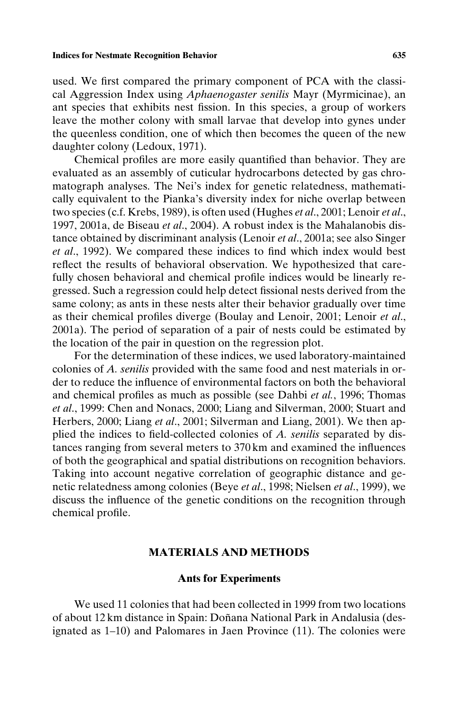#### **Indices for Nestmate Recognition Behavior 635**

used. We first compared the primary component of PCA with the classical Aggression Index using *Aphaenogaster senilis* Mayr (Myrmicinae), an ant species that exhibits nest fission. In this species, a group of workers leave the mother colony with small larvae that develop into gynes under the queenless condition, one of which then becomes the queen of the new daughter colony (Ledoux, 1971).

Chemical profiles are more easily quantified than behavior. They are evaluated as an assembly of cuticular hydrocarbons detected by gas chromatograph analyses. The Nei's index for genetic relatedness, mathematically equivalent to the Pianka's diversity index for niche overlap between two species (c.f. Krebs, 1989), is often used (Hughes *et al*., 2001; Lenoir *et al*., 1997, 2001a, de Biseau *et al*., 2004). A robust index is the Mahalanobis distance obtained by discriminant analysis (Lenoir *et al*., 2001a; see also Singer *et al*., 1992). We compared these indices to find which index would best reflect the results of behavioral observation. We hypothesized that carefully chosen behavioral and chemical profile indices would be linearly regressed. Such a regression could help detect fissional nests derived from the same colony; as ants in these nests alter their behavior gradually over time as their chemical profiles diverge (Boulay and Lenoir, 2001; Lenoir *et al*., 2001a). The period of separation of a pair of nests could be estimated by the location of the pair in question on the regression plot.

For the determination of these indices, we used laboratory-maintained colonies of *A. senilis* provided with the same food and nest materials in order to reduce the influence of environmental factors on both the behavioral and chemical profiles as much as possible (see Dahbi *et al.*, 1996; Thomas *et al*., 1999: Chen and Nonacs, 2000; Liang and Silverman, 2000; Stuart and Herbers, 2000; Liang *et al*., 2001; Silverman and Liang, 2001). We then applied the indices to field-collected colonies of *A. senilis* separated by distances ranging from several meters to 370 km and examined the influences of both the geographical and spatial distributions on recognition behaviors. Taking into account negative correlation of geographic distance and genetic relatedness among colonies (Beye *et al*., 1998; Nielsen *et al*., 1999), we discuss the influence of the genetic conditions on the recognition through chemical profile.

## **MATERIALS AND METHODS**

# **Ants for Experiments**

We used 11 colonies that had been collected in 1999 from two locations of about 12 km distance in Spain: Doñana National Park in Andalusia (designated as 1–10) and Palomares in Jaen Province (11). The colonies were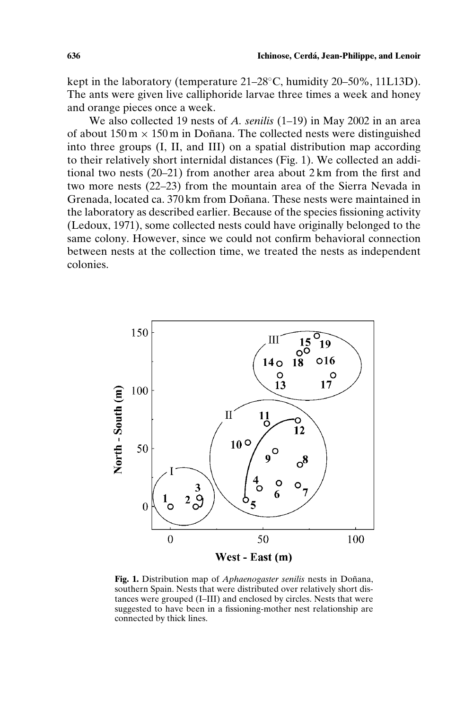kept in the laboratory (temperature 21–28◦C, humidity 20–50%, 11L13D). The ants were given live calliphoride larvae three times a week and honey and orange pieces once a week.

We also collected 19 nests of *A. senilis* (1–19) in May 2002 in an area of about  $150 \text{ m} \times 150 \text{ m}$  in Doñana. The collected nests were distinguished into three groups (I, II, and III) on a spatial distribution map according to their relatively short internidal distances (Fig. 1). We collected an additional two nests (20–21) from another area about 2 km from the first and two more nests (22–23) from the mountain area of the Sierra Nevada in Grenada, located ca. 370 km from Doñana. These nests were maintained in the laboratory as described earlier. Because of the species fissioning activity (Ledoux, 1971), some collected nests could have originally belonged to the same colony. However, since we could not confirm behavioral connection between nests at the collection time, we treated the nests as independent colonies.



**Fig. 1.** Distribution map of *Aphaenogaster senilis* nests in Doñana, southern Spain. Nests that were distributed over relatively short distances were grouped (I–III) and enclosed by circles. Nests that were suggested to have been in a fissioning-mother nest relationship are connected by thick lines.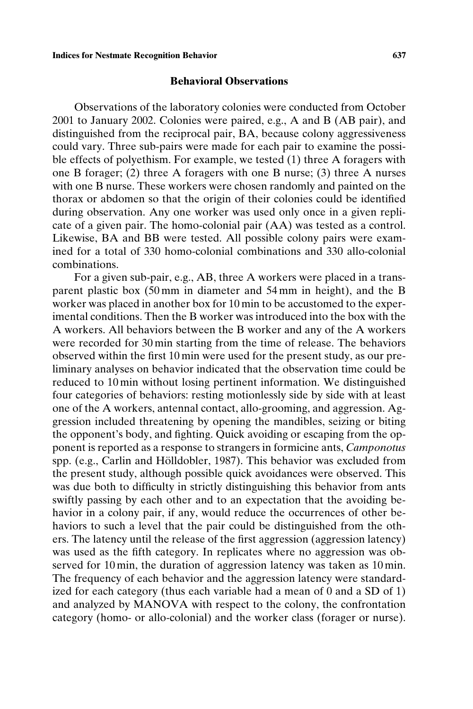#### **Behavioral Observations**

Observations of the laboratory colonies were conducted from October 2001 to January 2002. Colonies were paired, e.g., A and B (AB pair), and distinguished from the reciprocal pair, BA, because colony aggressiveness could vary. Three sub-pairs were made for each pair to examine the possible effects of polyethism. For example, we tested (1) three A foragers with one B forager; (2) three A foragers with one B nurse; (3) three A nurses with one B nurse. These workers were chosen randomly and painted on the thorax or abdomen so that the origin of their colonies could be identified during observation. Any one worker was used only once in a given replicate of a given pair. The homo-colonial pair (AA) was tested as a control. Likewise, BA and BB were tested. All possible colony pairs were examined for a total of 330 homo-colonial combinations and 330 allo-colonial combinations.

For a given sub-pair, e.g., AB, three A workers were placed in a transparent plastic box (50 mm in diameter and 54 mm in height), and the B worker was placed in another box for 10 min to be accustomed to the experimental conditions. Then the B worker was introduced into the box with the A workers. All behaviors between the B worker and any of the A workers were recorded for 30 min starting from the time of release. The behaviors observed within the first 10 min were used for the present study, as our preliminary analyses on behavior indicated that the observation time could be reduced to 10 min without losing pertinent information. We distinguished four categories of behaviors: resting motionlessly side by side with at least one of the A workers, antennal contact, allo-grooming, and aggression. Aggression included threatening by opening the mandibles, seizing or biting the opponent's body, and fighting. Quick avoiding or escaping from the opponent is reported as a response to strangers in formicine ants, *Camponotus* spp. (e.g., Carlin and Hölldobler, 1987). This behavior was excluded from the present study, although possible quick avoidances were observed. This was due both to difficulty in strictly distinguishing this behavior from ants swiftly passing by each other and to an expectation that the avoiding behavior in a colony pair, if any, would reduce the occurrences of other behaviors to such a level that the pair could be distinguished from the others. The latency until the release of the first aggression (aggression latency) was used as the fifth category. In replicates where no aggression was observed for 10 min, the duration of aggression latency was taken as 10 min. The frequency of each behavior and the aggression latency were standardized for each category (thus each variable had a mean of 0 and a SD of 1) and analyzed by MANOVA with respect to the colony, the confrontation category (homo- or allo-colonial) and the worker class (forager or nurse).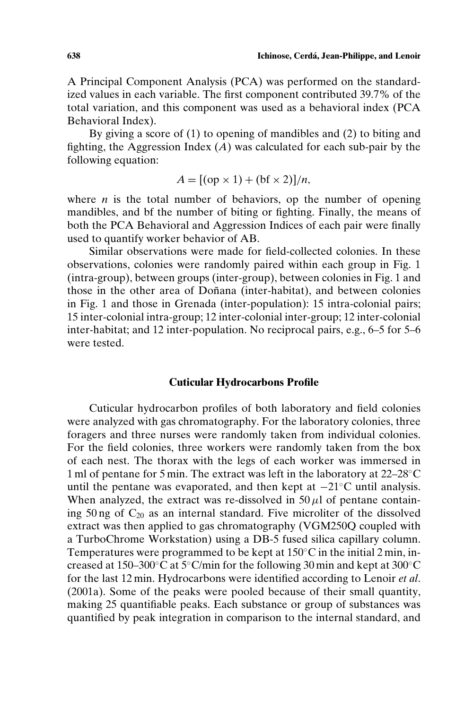A Principal Component Analysis (PCA) was performed on the standardized values in each variable. The first component contributed 39.7% of the total variation, and this component was used as a behavioral index (PCA Behavioral Index).

By giving a score of (1) to opening of mandibles and (2) to biting and fighting, the Aggression Index  $(A)$  was calculated for each sub-pair by the following equation:

$$
A = [(\text{op} \times 1) + (\text{bf} \times 2)]/n,
$$

where  $n$  is the total number of behaviors, op the number of opening mandibles, and bf the number of biting or fighting. Finally, the means of both the PCA Behavioral and Aggression Indices of each pair were finally used to quantify worker behavior of AB.

Similar observations were made for field-collected colonies. In these observations, colonies were randomly paired within each group in Fig. 1 (intra-group), between groups (inter-group), between colonies in Fig. 1 and those in the other area of Doñana (inter-habitat), and between colonies in Fig. 1 and those in Grenada (inter-population): 15 intra-colonial pairs; 15 inter-colonial intra-group; 12 inter-colonial inter-group; 12 inter-colonial inter-habitat; and 12 inter-population. No reciprocal pairs, e.g., 6–5 for 5–6 were tested.

## **Cuticular Hydrocarbons Profile**

Cuticular hydrocarbon profiles of both laboratory and field colonies were analyzed with gas chromatography. For the laboratory colonies, three foragers and three nurses were randomly taken from individual colonies. For the field colonies, three workers were randomly taken from the box of each nest. The thorax with the legs of each worker was immersed in 1 ml of pentane for 5 min. The extract was left in the laboratory at 22–28◦C until the pentane was evaporated, and then kept at −21◦C until analysis. When analyzed, the extract was re-dissolved in  $50 \mu l$  of pentane containing 50 ng of  $C_{20}$  as an internal standard. Five microliter of the dissolved extract was then applied to gas chromatography (VGM250Q coupled with a TurboChrome Workstation) using a DB-5 fused silica capillary column. Temperatures were programmed to be kept at 150◦C in the initial 2 min, increased at 150–300◦C at 5◦C/min for the following 30 min and kept at 300◦C for the last 12 min. Hydrocarbons were identified according to Lenoir *et al*. (2001a). Some of the peaks were pooled because of their small quantity, making 25 quantifiable peaks. Each substance or group of substances was quantified by peak integration in comparison to the internal standard, and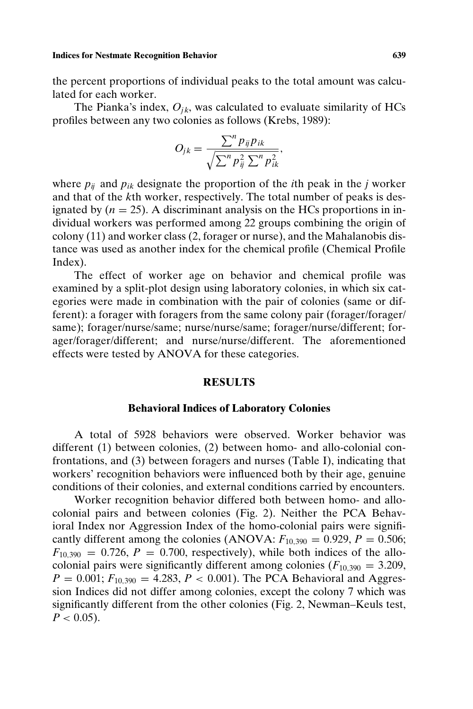#### **Indices for Nestmate Recognition Behavior 639**

the percent proportions of individual peaks to the total amount was calculated for each worker.

The Pianka's index,  $O_{ik}$ , was calculated to evaluate similarity of HCs profiles between any two colonies as follows (Krebs, 1989):

$$
O_{jk} = \frac{\sum^n p_{ij} p_{ik}}{\sqrt{\sum^n p_{ij}^2 \sum^n p_{ik}^2}},
$$

where  $p_{ij}$  and  $p_{ik}$  designate the proportion of the *i*th peak in the *j* worker and that of the *k*th worker, respectively. The total number of peaks is designated by  $(n = 25)$ . A discriminant analysis on the HCs proportions in individual workers was performed among 22 groups combining the origin of colony (11) and worker class (2, forager or nurse), and the Mahalanobis distance was used as another index for the chemical profile (Chemical Profile Index).

The effect of worker age on behavior and chemical profile was examined by a split-plot design using laboratory colonies, in which six categories were made in combination with the pair of colonies (same or different): a forager with foragers from the same colony pair (forager/forager/ same); forager/nurse/same; nurse/nurse/same; forager/nurse/different; forager/forager/different; and nurse/nurse/different. The aforementioned effects were tested by ANOVA for these categories.

### **RESULTS**

#### **Behavioral Indices of Laboratory Colonies**

A total of 5928 behaviors were observed. Worker behavior was different (1) between colonies, (2) between homo- and allo-colonial confrontations, and (3) between foragers and nurses (Table I), indicating that workers' recognition behaviors were influenced both by their age, genuine conditions of their colonies, and external conditions carried by encounters.

Worker recognition behavior differed both between homo- and allocolonial pairs and between colonies (Fig. 2). Neither the PCA Behavioral Index nor Aggression Index of the homo-colonial pairs were significantly different among the colonies (ANOVA:  $F_{10,390} = 0.929$ ,  $P = 0.506$ ;  $F_{10,390} = 0.726$ ,  $P = 0.700$ , respectively), while both indices of the allocolonial pairs were significantly different among colonies  $(F_{10,390} = 3.209,$  $P = 0.001$ ;  $F_{10,390} = 4.283$ ,  $P < 0.001$ ). The PCA Behavioral and Aggression Indices did not differ among colonies, except the colony 7 which was significantly different from the other colonies (Fig. 2, Newman–Keuls test,  $P < 0.05$ ).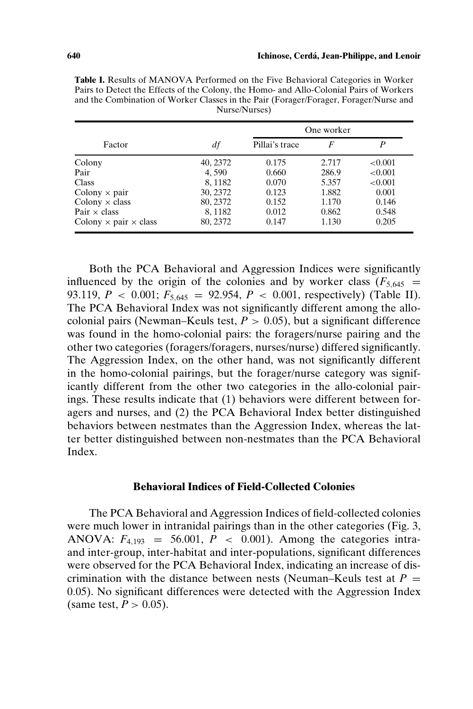|                                     |          | One worker     |       |            |
|-------------------------------------|----------|----------------|-------|------------|
| Factor                              | df       | Pillai's trace | F     | P          |
| Colony                              | 40, 2372 | 0.175          | 2.717 | ${<}0.001$ |
| Pair                                | 4.590    | 0.660          | 286.9 | ${<}0.001$ |
| Class                               | 8,1182   | 0.070          | 5.357 | < 0.001    |
| Colony $\times$ pair                | 30, 2372 | 0.123          | 1.882 | 0.001      |
| Colony $\times$ class               | 80, 2372 | 0.152          | 1.170 | 0.146      |
| Pair $\times$ class                 | 8,1182   | 0.012          | 0.862 | 0.548      |
| Colony $\times$ pair $\times$ class | 80, 2372 | 0.147          | 1.130 | 0.205      |

**Table I.** Results of MANOVA Performed on the Five Behavioral Categories in Worker Pairs to Detect the Effects of the Colony, the Homo- and Allo-Colonial Pairs of Workers and the Combination of Worker Classes in the Pair (Forager/Forager, Forager/Nurse and Nurse/Nurses)

Both the PCA Behavioral and Aggression Indices were significantly influenced by the origin of the colonies and by worker class  $(F_{5,645}$  = 93.119,  $P < 0.001$ ;  $F_{5.645} = 92.954$ ,  $P < 0.001$ , respectively) (Table II). The PCA Behavioral Index was not significantly different among the allocolonial pairs (Newman–Keuls test, *P >* 0*.*05), but a significant difference was found in the homo-colonial pairs: the foragers/nurse pairing and the other two categories (foragers/foragers, nurses/nurse) differed significantly. The Aggression Index, on the other hand, was not significantly different in the homo-colonial pairings, but the forager/nurse category was significantly different from the other two categories in the allo-colonial pairings. These results indicate that (1) behaviors were different between foragers and nurses, and (2) the PCA Behavioral Index better distinguished behaviors between nestmates than the Aggression Index, whereas the latter better distinguished between non-nestmates than the PCA Behavioral Index.

## **Behavioral Indices of Field-Collected Colonies**

The PCA Behavioral and Aggression Indices of field-collected colonies were much lower in intranidal pairings than in the other categories (Fig. 3, ANOVA:  $F_{4,193}$  = 56.001,  $P \lt 0.001$ ). Among the categories intraand inter-group, inter-habitat and inter-populations, significant differences were observed for the PCA Behavioral Index, indicating an increase of discrimination with the distance between nests (Neuman–Keuls test at  $P =$ 0*.*05). No significant differences were detected with the Aggression Index (same test,  $P > 0.05$ ).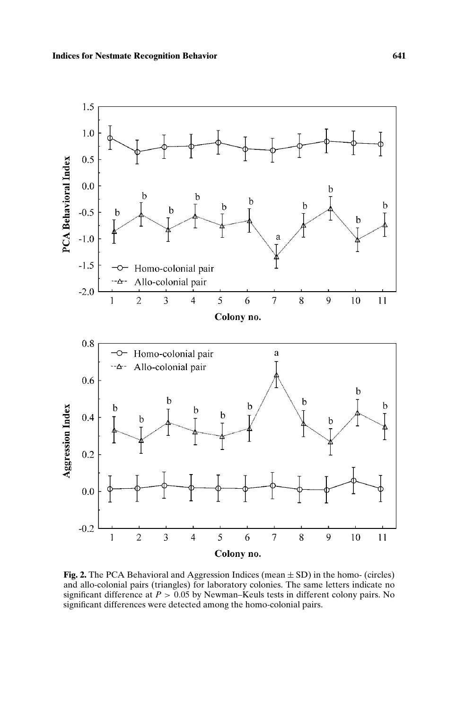

**Fig. 2.** The PCA Behavioral and Aggression Indices (mean  $\pm$  SD) in the homo- (circles) and allo-colonial pairs (triangles) for laboratory colonies. The same letters indicate no significant difference at  $P > 0.05$  by Newman–Keuls tests in different colony pairs. No significant differences were detected among the homo-colonial pairs.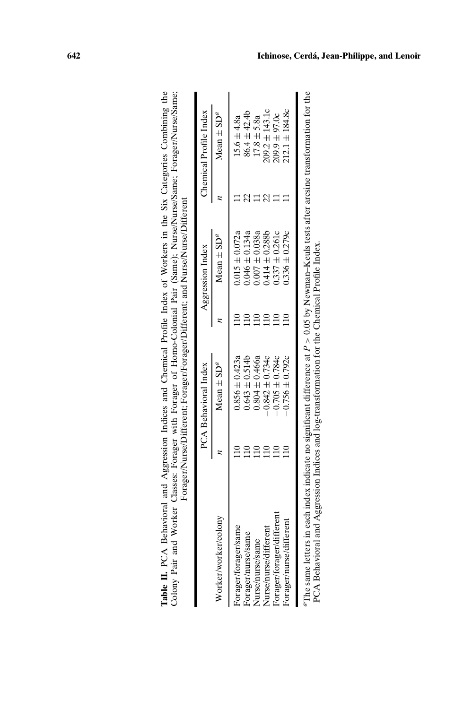|                           | PCA Behavioral Index       | Aggression Index           | Chemical Profile Index     |
|---------------------------|----------------------------|----------------------------|----------------------------|
| Worker/worker/colony      | Mean $\pm$ SD <sup>a</sup> | Mean $\pm$ SD <sup>a</sup> | Mean $\pm$ SD <sup>a</sup> |
| Forager/forager/same      | $0.856 \pm 0.423a$         | $0.015 \pm 0.072a$         | $15.6 \pm 4.8a$            |
| Forager/nurse/same        | $0.643 \pm 0.514$          | $0.046 \pm 0.134a$         | $86.4 \pm 42.4$            |
| Nurse/nurse/same          | $0.804 \pm 0.466a$         | $0.007 \pm 0.038a$         | $17.8 \pm 5.8a$            |
| Nurse/nurse/different     | $-0.842 \pm 0.734c$        | $0.414 \pm 0.288b$         | $209.2 \pm 143.1c$         |
| Forager/forager/different | $-0.705 \pm 0.784c$        | $0.337 \pm 0.261c$         | $209.9 \pm 97.0c$          |
| Forager/nurse/different   | $-0.756 \pm 0.792c$        | $0.336 \pm 0.279c$         | $212.1 \pm 184.8c$         |

| Table II. PCA Behavioral and Aggression Indices and Chemical Profile Index of Workers in the Six Categories Combining th | me: Forager/l<br>Colony Pair and Worker Classes: Forager with Forager of Homo-Colonial Pair (Same); Nurse/Nurse/San<br>. orager/Forager/Different; and Nurse/N |  |
|--------------------------------------------------------------------------------------------------------------------------|----------------------------------------------------------------------------------------------------------------------------------------------------------------|--|
|                                                                                                                          |                                                                                                                                                                |  |

*a*The same letters in each index indicate no significant difference at *P >* 0*.*05 by Newman–Keuls tests after arcsine transformation for the PCA Behavioral and Aggression Indices and log-transformation for the Chemical Profile Index.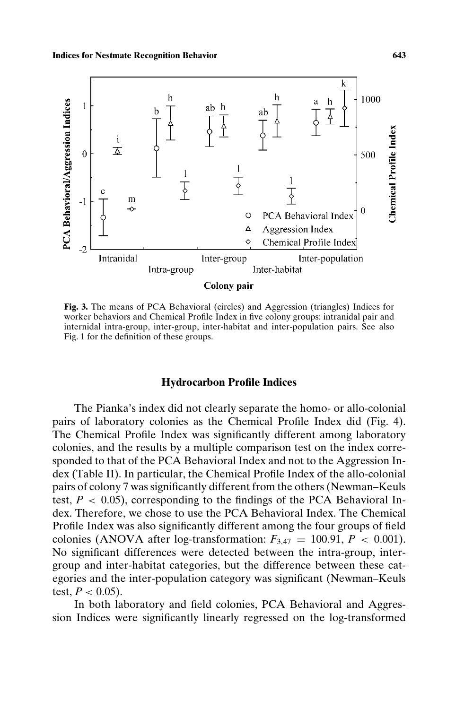

**Fig. 3.** The means of PCA Behavioral (circles) and Aggression (triangles) Indices for worker behaviors and Chemical Profile Index in five colony groups: intranidal pair and internidal intra-group, inter-group, inter-habitat and inter-population pairs. See also Fig. 1 for the definition of these groups.

## **Hydrocarbon Profile Indices**

The Pianka's index did not clearly separate the homo- or allo-colonial pairs of laboratory colonies as the Chemical Profile Index did (Fig. 4). The Chemical Profile Index was significantly different among laboratory colonies, and the results by a multiple comparison test on the index corresponded to that of the PCA Behavioral Index and not to the Aggression Index (Table II). In particular, the Chemical Profile Index of the allo-colonial pairs of colony 7 was significantly different from the others (Newman–Keuls test,  $P < 0.05$ ), corresponding to the findings of the PCA Behavioral Index. Therefore, we chose to use the PCA Behavioral Index. The Chemical Profile Index was also significantly different among the four groups of field colonies (ANOVA after log-transformation:  $F_{3.47} = 100.91$ ,  $P < 0.001$ ). No significant differences were detected between the intra-group, intergroup and inter-habitat categories, but the difference between these categories and the inter-population category was significant (Newman–Keuls test,  $P < 0.05$ ).

In both laboratory and field colonies, PCA Behavioral and Aggression Indices were significantly linearly regressed on the log-transformed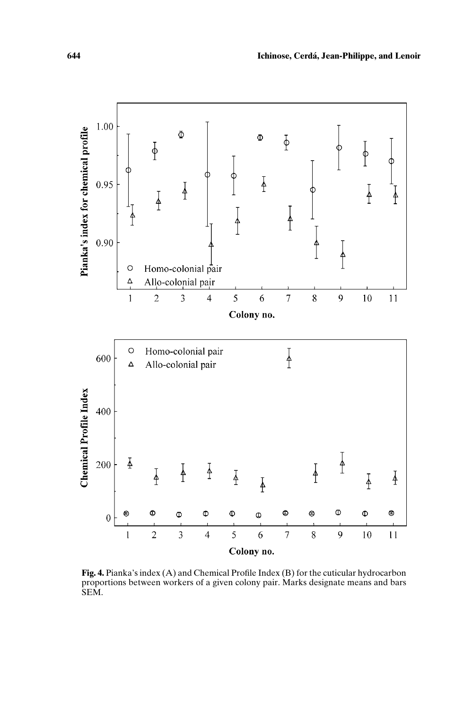

**Fig. 4.** Pianka's index (A) and Chemical Profile Index (B) for the cuticular hydrocarbon proportions between workers of a given colony pair. Marks designate means and bars SEM.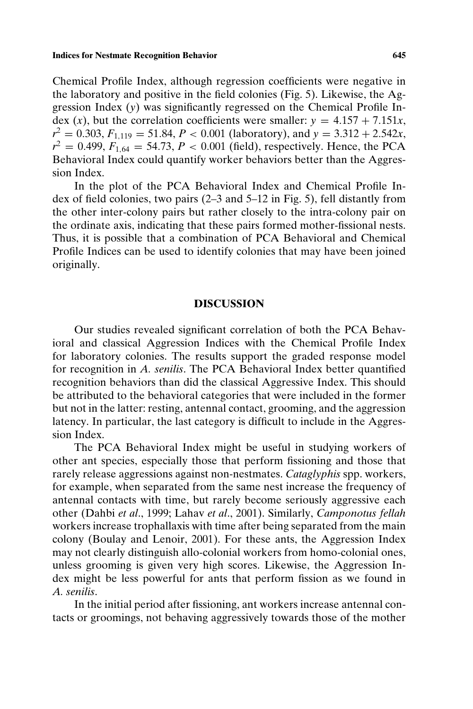Chemical Profile Index, although regression coefficients were negative in the laboratory and positive in the field colonies (Fig. 5). Likewise, the Aggression Index (*y*) was significantly regressed on the Chemical Profile Index (*x*), but the correlation coefficients were smaller:  $y = 4.157 + 7.151x$ ,  $r^2 = 0.303$ ,  $F_{1,119} = 51.84$ ,  $P < 0.001$  (laboratory), and  $y = 3.312 + 2.542x$ ,  $r^2 = 0.499, F_{1.64} = 54.73, P < 0.001$  (field), respectively. Hence, the PCA Behavioral Index could quantify worker behaviors better than the Aggression Index.

In the plot of the PCA Behavioral Index and Chemical Profile Index of field colonies, two pairs (2–3 and 5–12 in Fig. 5), fell distantly from the other inter-colony pairs but rather closely to the intra-colony pair on the ordinate axis, indicating that these pairs formed mother-fissional nests. Thus, it is possible that a combination of PCA Behavioral and Chemical Profile Indices can be used to identify colonies that may have been joined originally.

### **DISCUSSION**

Our studies revealed significant correlation of both the PCA Behavioral and classical Aggression Indices with the Chemical Profile Index for laboratory colonies. The results support the graded response model for recognition in *A. senilis*. The PCA Behavioral Index better quantified recognition behaviors than did the classical Aggressive Index. This should be attributed to the behavioral categories that were included in the former but not in the latter: resting, antennal contact, grooming, and the aggression latency. In particular, the last category is difficult to include in the Aggression Index.

The PCA Behavioral Index might be useful in studying workers of other ant species, especially those that perform fissioning and those that rarely release aggressions against non-nestmates. *Cataglyphis* spp. workers, for example, when separated from the same nest increase the frequency of antennal contacts with time, but rarely become seriously aggressive each other (Dahbi *et al*., 1999; Lahav *et al*., 2001). Similarly, *Camponotus fellah* workers increase trophallaxis with time after being separated from the main colony (Boulay and Lenoir, 2001). For these ants, the Aggression Index may not clearly distinguish allo-colonial workers from homo-colonial ones, unless grooming is given very high scores. Likewise, the Aggression Index might be less powerful for ants that perform fission as we found in *A. senilis*.

In the initial period after fissioning, ant workers increase antennal contacts or groomings, not behaving aggressively towards those of the mother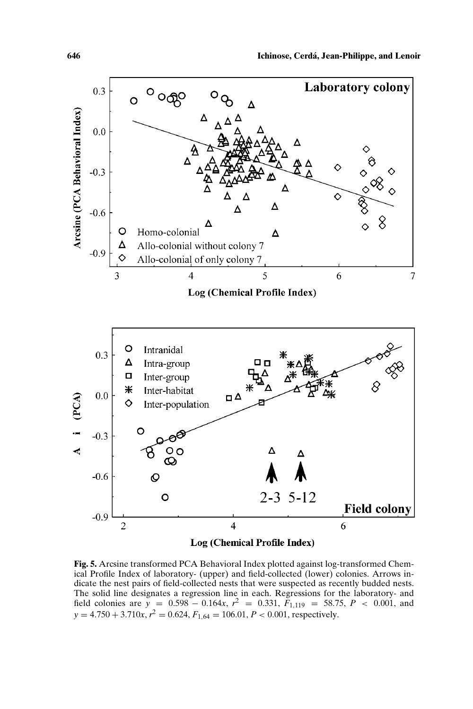

**Fig. 5.** Arcsine transformed PCA Behavioral Index plotted against log-transformed Chemical Profile Index of laboratory- (upper) and field-collected (lower) colonies. Arrows indicate the nest pairs of field-collected nests that were suspected as recently budded nests. The solid line designates a regression line in each. Regressions for the laboratory- and field colonies are  $y = 0.598 - 0.164x$ ,  $r^2 = 0.331$ ,  $F_{1,119} = 58.75$ ,  $P < 0.001$ , and  $y = 4.750 + 3.710x$ ,  $r^2 = 0.624$ ,  $F_{1,64} = 106.01$ ,  $P < 0.001$ , respectively.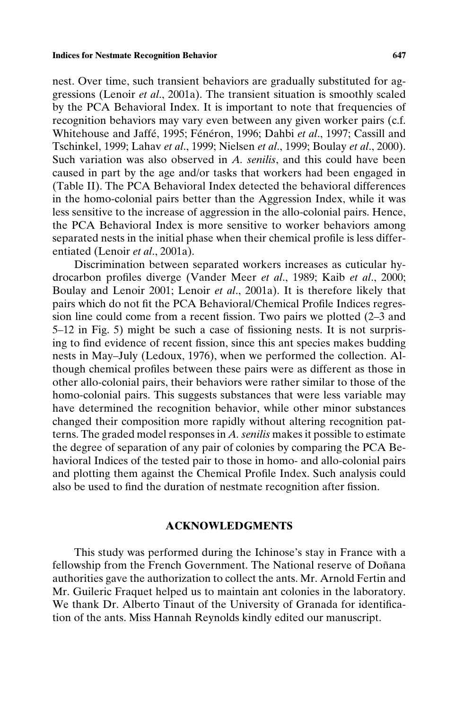nest. Over time, such transient behaviors are gradually substituted for aggressions (Lenoir *et al*., 2001a). The transient situation is smoothly scaled by the PCA Behavioral Index. It is important to note that frequencies of recognition behaviors may vary even between any given worker pairs (c.f. Whitehouse and Jaffé, 1995; Fénéron, 1996; Dahbi et al., 1997; Cassill and Tschinkel, 1999; Lahav *et al*., 1999; Nielsen *et al*., 1999; Boulay *et al*., 2000). Such variation was also observed in *A. senilis*, and this could have been caused in part by the age and/or tasks that workers had been engaged in (Table II). The PCA Behavioral Index detected the behavioral differences in the homo-colonial pairs better than the Aggression Index, while it was less sensitive to the increase of aggression in the allo-colonial pairs. Hence, the PCA Behavioral Index is more sensitive to worker behaviors among separated nests in the initial phase when their chemical profile is less differentiated (Lenoir *et al*., 2001a).

Discrimination between separated workers increases as cuticular hydrocarbon profiles diverge (Vander Meer *et al*., 1989; Kaib *et al*., 2000; Boulay and Lenoir 2001; Lenoir *et al*., 2001a). It is therefore likely that pairs which do not fit the PCA Behavioral/Chemical Profile Indices regression line could come from a recent fission. Two pairs we plotted (2–3 and 5–12 in Fig. 5) might be such a case of fissioning nests. It is not surprising to find evidence of recent fission, since this ant species makes budding nests in May–July (Ledoux, 1976), when we performed the collection. Although chemical profiles between these pairs were as different as those in other allo-colonial pairs, their behaviors were rather similar to those of the homo-colonial pairs. This suggests substances that were less variable may have determined the recognition behavior, while other minor substances changed their composition more rapidly without altering recognition patterns. The graded model responses in *A. senilis* makes it possible to estimate the degree of separation of any pair of colonies by comparing the PCA Behavioral Indices of the tested pair to those in homo- and allo-colonial pairs and plotting them against the Chemical Profile Index. Such analysis could also be used to find the duration of nestmate recognition after fission.

#### **ACKNOWLEDGMENTS**

This study was performed during the Ichinose's stay in France with a fellowship from the French Government. The National reserve of Doñana authorities gave the authorization to collect the ants. Mr. Arnold Fertin and Mr. Guileric Fraquet helped us to maintain ant colonies in the laboratory. We thank Dr. Alberto Tinaut of the University of Granada for identification of the ants. Miss Hannah Reynolds kindly edited our manuscript.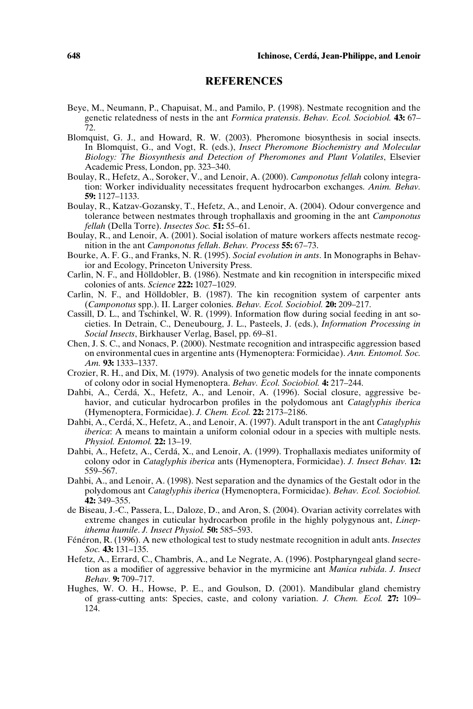# **REFERENCES**

- Beye, M., Neumann, P., Chapuisat, M., and Pamilo, P. (1998). Nestmate recognition and the genetic relatedness of nests in the ant *Formica pratensis*. *Behav. Ecol. Sociobiol.* **43:** 67– 72.
- Blomquist, G. J., and Howard, R. W. (2003). Pheromone biosynthesis in social insects. In Blomquist, G., and Vogt, R. (eds.), *Insect Pheromone Biochemistry and Molecular Biology: The Biosynthesis and Detection of Pheromones and Plant Volatiles*, Elsevier Academic Press, London, pp. 323–340.
- Boulay, R., Hefetz, A., Soroker, V., and Lenoir, A. (2000). *Camponotus fellah* colony integration: Worker individuality necessitates frequent hydrocarbon exchanges. *Anim. Behav.* **59:** 1127–1133.
- Boulay, R., Katzav-Gozansky, T., Hefetz, A., and Lenoir, A. (2004). Odour convergence and tolerance between nestmates through trophallaxis and grooming in the ant *Camponotus fellah* (Della Torre). *Insectes Soc.* **51:** 55–61.
- Boulay, R., and Lenoir, A. (2001). Social isolation of mature workers affects nestmate recognition in the ant *Camponotus fellah*. *Behav. Process* **55:** 67–73.
- Bourke, A. F. G., and Franks, N. R. (1995). *Social evolution in ants*. In Monographs in Behavior and Ecology, Princeton University Press.
- Carlin, N. F., and Holldobler, B. (1986). Nestmate and kin recognition in interspecific mixed ¨ colonies of ants. *Science* **222:** 1027–1029.
- Carlin, N. F., and Hölldobler, B. (1987). The kin recognition system of carpenter ants (*Camponotus* spp.). II. Larger colonies. *Behav. Ecol. Sociobiol.* **20:** 209–217.
- Cassill, D. L., and Tschinkel, W. R. (1999). Information flow during social feeding in ant societies. In Detrain, C., Deneubourg, J. L., Pasteels, J. (eds.), *Information Processing in Social Insects*, Birkhauser Verlag, Basel, pp. 69–81.
- Chen, J. S. C., and Nonacs, P. (2000). Nestmate recognition and intraspecific aggression based on environmental cues in argentine ants (Hymenoptera: Formicidae). *Ann. Entomol. Soc. Am.* **93:** 1333–1337.
- Crozier, R. H., and Dix, M. (1979). Analysis of two genetic models for the innate components of colony odor in social Hymenoptera. *Behav. Ecol. Sociobiol.* **4:** 217–244.
- Dahbi, A., Cerdá, X., Hefetz, A., and Lenoir, A. (1996). Social closure, aggressive behavior, and cuticular hydrocarbon profiles in the polydomous ant *Cataglyphis iberica* (Hymenoptera, Formicidae). *J. Chem. Ecol.* **22:** 2173–2186.
- Dahbi, A., Cerdá, X., Hefetz, A., and Lenoir, A. (1997). Adult transport in the ant *Cataglyphis iberica*: A means to maintain a uniform colonial odour in a species with multiple nests. *Physiol. Entomol.* **22:** 13–19.
- Dahbi, A., Hefetz, A., Cerda, X., and Lenoir, A. (1999). Trophallaxis mediates uniformity of ´ colony odor in *Cataglyphis iberica* ants (Hymenoptera, Formicidae). *J. Insect Behav.* **12:** 559–567.
- Dahbi, A., and Lenoir, A. (1998). Nest separation and the dynamics of the Gestalt odor in the polydomous ant *Cataglyphis iberica* (Hymenoptera, Formicidae). *Behav. Ecol. Sociobiol.* **42:** 349–355.
- de Biseau, J.-C., Passera, L., Daloze, D., and Aron, S. (2004). Ovarian activity correlates with extreme changes in cuticular hydrocarbon profile in the highly polygynous ant, *Linepithema humile*. *J. Insect Physiol.* **50:** 585–593.
- Fénéron, R. (1996). A new ethological test to study nestmate recognition in adult ants. *Insectes Soc.* **43:** 131–135.
- Hefetz, A., Errard, C., Chambris, A., and Le Negrate, A. (1996). Postpharyngeal gland secretion as a modifier of aggressive behavior in the myrmicine ant *Manica rubida*. *J. Insect Behav.* **9:** 709–717.
- Hughes, W. O. H., Howse, P. E., and Goulson, D. (2001). Mandibular gland chemistry of grass-cutting ants: Species, caste, and colony variation. *J. Chem. Ecol.* **27:** 109– 124.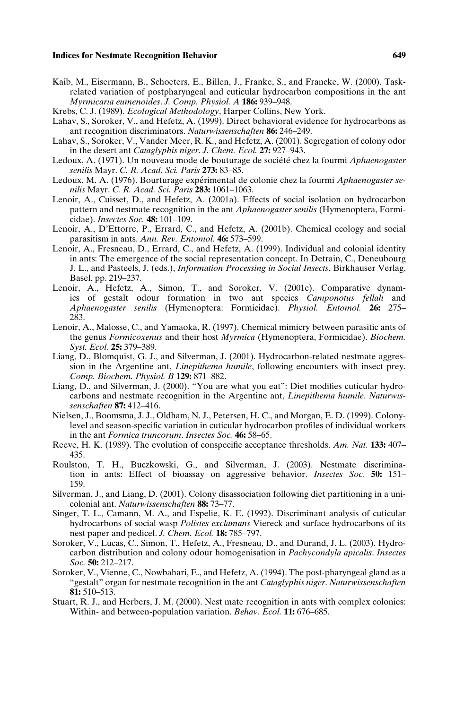#### **Indices for Nestmate Recognition Behavior 649**

- Kaib, M., Eisermann, B., Schoeters, E., Billen, J., Franke, S., and Francke, W. (2000). Taskrelated variation of postpharyngeal and cuticular hydrocarbon compositions in the ant *Myrmicaria eumenoides*. *J. Comp. Physiol. A* **186:** 939–948.
- Krebs, C. J. (1989). *Ecological Methodology*, Harper Collins, New York.
- Lahav, S., Soroker, V., and Hefetz, A. (1999). Direct behavioral evidence for hydrocarbons as ant recognition discriminators. *Naturwissenschaften* **86:** 246–249.
- Lahav, S., Soroker, V., Vander Meer, R. K., and Hefetz, A. (2001). Segregation of colony odor in the desert ant *Cataglyphis niger*. *J. Chem. Ecol.* **27:** 927–943.
- Ledoux, A. (1971). Un nouveau mode de bouturage de société chez la fourmi *Aphaenogaster senilis* Mayr. *C. R. Acad. Sci. Paris* **273:** 83–85.
- Ledoux, M. A. (1976). Bourturage expérimental de colonie chez la fourmi *Aphaenogaster senilis* Mayr. *C. R. Acad. Sci. Paris* **283:** 1061–1063.
- Lenoir, A., Cuisset, D., and Hefetz, A. (2001a). Effects of social isolation on hydrocarbon pattern and nestmate recognition in the ant *Aphaenogaster senilis* (Hymenoptera, Formicidae). *Insectes Soc.* **48:** 101–109.
- Lenoir, A., D'Ettorre, P., Errard, C., and Hefetz, A. (2001b). Chemical ecology and social parasitism in ants. *Ann. Rev. Entomol.* **46:** 573–599.
- Lenoir, A., Fresneau, D., Errard, C., and Hefetz, A. (1999). Individual and colonial identity in ants: The emergence of the social representation concept. In Detrain, C., Deneubourg J. L., and Pasteels, J. (eds.), *Information Processing in Social Insects*, Birkhauser Verlag, Basel, pp. 219–237.
- Lenoir, A., Hefetz, A., Simon, T., and Soroker, V. (2001c). Comparative dynamics of gestalt odour formation in two ant species *Camponotus fellah* and *Aphaenogaster senilis* (Hymenoptera: Formicidae). *Physiol. Entomol.* **26:** 275– 283.
- Lenoir, A., Malosse, C., and Yamaoka, R. (1997). Chemical mimicry between parasitic ants of the genus *Formicoxenus* and their host *Myrmica* (Hymenoptera, Formicidae). *Biochem. Syst. Ecol.* **25:** 379–389.
- Liang, D., Blomquist, G. J., and Silverman, J. (2001). Hydrocarbon-related nestmate aggression in the Argentine ant, *Linepithema humile*, following encounters with insect prey. *Comp. Biochem. Physiol. B* **129:** 871–882.
- Liang, D., and Silverman, J. (2000). "You are what you eat": Diet modifies cuticular hydrocarbons and nestmate recognition in the Argentine ant, *Linepithema humile*. *Naturwissenschaften* **87:** 412–416.
- Nielsen, J., Boomsma, J. J., Oldham, N. J., Petersen, H. C., and Morgan, E. D. (1999). Colonylevel and season-specific variation in cuticular hydrocarbon profiles of individual workers in the ant *Formica truncorum*. *Insectes Soc.* **46:** 58–65.
- Reeve, H. K. (1989). The evolution of conspecific acceptance thresholds. *Am. Nat.* **133:** 407– 435.
- Roulston, T. H., Buczkowski, G., and Silverman, J. (2003). Nestmate discrimination in ants: Effect of bioassay on aggressive behavior. *Insectes Soc.* **50:** 151– 159.
- Silverman, J., and Liang, D. (2001). Colony disassociation following diet partitioning in a unicolonial ant. *Naturwissenschaften* **88:** 73–77.
- Singer, T. L., Camann, M. A., and Espelie, K. E. (1992). Discriminant analysis of cuticular hydrocarbons of social wasp *Polistes exclamans* Viereck and surface hydrocarbons of its nest paper and pedicel. *J. Chem. Ecol.* **18:** 785–797.
- Soroker, V., Lucas, C., Simon, T., Hefetz, A., Fresneau, D., and Durand, J. L. (2003). Hydrocarbon distribution and colony odour homogenisation in *Pachycondyla apicalis*. *Insectes Soc.* **50:** 212–217.
- Soroker, V., Vienne, C., Nowbahari, E., and Hefetz, A. (1994). The post-pharyngeal gland as a "gestalt" organ for nestmate recognition in the ant *Cataglyphis niger*. *Naturwissenschaften* **81:** 510–513.
- Stuart, R. J., and Herbers, J. M. (2000). Nest mate recognition in ants with complex colonies: Within- and between-population variation. *Behav. Ecol.* **11:** 676–685.